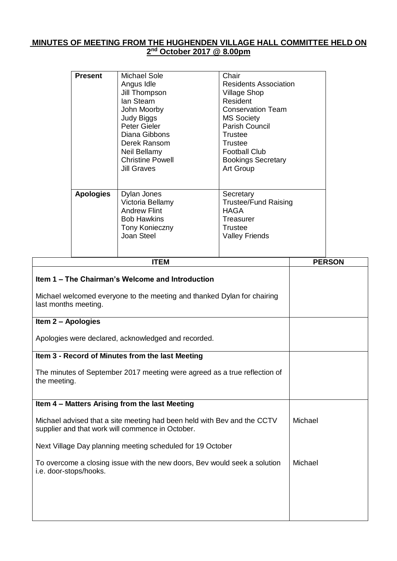## **MINUTES OF MEETING FROM THE HUGHENDEN VILLAGE HALL COMMITTEE HELD ON 2 nd October 2017 @ 8.00pm**

|                                                                                                                                                     | <b>Present</b>   | <b>Michael Sole</b><br>Angus Idle<br>Jill Thompson<br>lan Stearn<br>John Moorby<br><b>Judy Biggs</b><br>Peter Gieler<br>Diana Gibbons<br>Derek Ransom<br>Neil Bellamy<br><b>Christine Powell</b><br><b>Jill Graves</b> | Chair<br><b>Residents Association</b><br><b>Village Shop</b><br>Resident<br><b>Conservation Team</b><br><b>MS Society</b><br><b>Parish Council</b><br><b>Trustee</b><br><b>Trustee</b><br><b>Football Club</b><br><b>Bookings Secretary</b><br>Art Group |  |               |
|-----------------------------------------------------------------------------------------------------------------------------------------------------|------------------|------------------------------------------------------------------------------------------------------------------------------------------------------------------------------------------------------------------------|----------------------------------------------------------------------------------------------------------------------------------------------------------------------------------------------------------------------------------------------------------|--|---------------|
|                                                                                                                                                     | <b>Apologies</b> | Dylan Jones<br>Victoria Bellamy<br><b>Andrew Flint</b><br><b>Bob Hawkins</b><br>Tony Konieczny<br>Joan Steel                                                                                                           | Secretary<br><b>Trustee/Fund Raising</b><br><b>HAGA</b><br>Treasurer<br><b>Trustee</b><br><b>Valley Friends</b>                                                                                                                                          |  |               |
|                                                                                                                                                     |                  | <b>ITEM</b>                                                                                                                                                                                                            |                                                                                                                                                                                                                                                          |  | <b>PERSON</b> |
| Item 1 - The Chairman's Welcome and Introduction<br>Michael welcomed everyone to the meeting and thanked Dylan for chairing<br>last months meeting. |                  |                                                                                                                                                                                                                        |                                                                                                                                                                                                                                                          |  |               |
| Item 2 - Apologies                                                                                                                                  |                  |                                                                                                                                                                                                                        |                                                                                                                                                                                                                                                          |  |               |
| Apologies were declared, acknowledged and recorded.                                                                                                 |                  |                                                                                                                                                                                                                        |                                                                                                                                                                                                                                                          |  |               |
|                                                                                                                                                     |                  | Item 3 - Record of Minutes from the last Meeting                                                                                                                                                                       |                                                                                                                                                                                                                                                          |  |               |
| The minutes of September 2017 meeting were agreed as a true reflection of<br>the meeting.                                                           |                  |                                                                                                                                                                                                                        |                                                                                                                                                                                                                                                          |  |               |
|                                                                                                                                                     |                  | Item 4 - Matters Arising from the last Meeting                                                                                                                                                                         |                                                                                                                                                                                                                                                          |  |               |
| Michael advised that a site meeting had been held with Bev and the CCTV<br>supplier and that work will commence in October.                         |                  |                                                                                                                                                                                                                        |                                                                                                                                                                                                                                                          |  |               |
| Next Village Day planning meeting scheduled for 19 October                                                                                          |                  |                                                                                                                                                                                                                        |                                                                                                                                                                                                                                                          |  |               |
| To overcome a closing issue with the new doors, Bev would seek a solution<br>i.e. door-stops/hooks.                                                 |                  |                                                                                                                                                                                                                        |                                                                                                                                                                                                                                                          |  |               |
|                                                                                                                                                     |                  |                                                                                                                                                                                                                        |                                                                                                                                                                                                                                                          |  |               |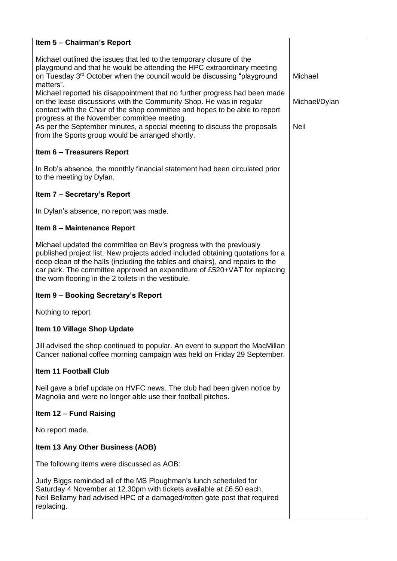| Item 5 - Chairman's Report                                                                                                                                                                                                                                                                                                                                                  |               |
|-----------------------------------------------------------------------------------------------------------------------------------------------------------------------------------------------------------------------------------------------------------------------------------------------------------------------------------------------------------------------------|---------------|
| Michael outlined the issues that led to the temporary closure of the<br>playground and that he would be attending the HPC extraordinary meeting<br>on Tuesday 3 <sup>rd</sup> October when the council would be discussing "playground<br>matters".                                                                                                                         | Michael       |
| Michael reported his disappointment that no further progress had been made<br>on the lease discussions with the Community Shop. He was in regular<br>contact with the Chair of the shop committee and hopes to be able to report<br>progress at the November committee meeting.                                                                                             | Michael/Dylan |
| As per the September minutes, a special meeting to discuss the proposals<br>from the Sports group would be arranged shortly.                                                                                                                                                                                                                                                | <b>Neil</b>   |
| <b>Item 6 - Treasurers Report</b>                                                                                                                                                                                                                                                                                                                                           |               |
| In Bob's absence, the monthly financial statement had been circulated prior<br>to the meeting by Dylan.                                                                                                                                                                                                                                                                     |               |
| Item 7 - Secretary's Report                                                                                                                                                                                                                                                                                                                                                 |               |
| In Dylan's absence, no report was made.                                                                                                                                                                                                                                                                                                                                     |               |
| Item 8 - Maintenance Report                                                                                                                                                                                                                                                                                                                                                 |               |
| Michael updated the committee on Bev's progress with the previously<br>published project list. New projects added included obtaining quotations for a<br>deep clean of the halls (including the tables and chairs), and repairs to the<br>car park. The committee approved an expenditure of £520+VAT for replacing<br>the worn flooring in the 2 toilets in the vestibule. |               |
| Item 9 - Booking Secretary's Report                                                                                                                                                                                                                                                                                                                                         |               |
| Nothing to report                                                                                                                                                                                                                                                                                                                                                           |               |
| Item 10 Village Shop Update                                                                                                                                                                                                                                                                                                                                                 |               |
| Jill advised the shop continued to popular. An event to support the MacMillan<br>Cancer national coffee morning campaign was held on Friday 29 September.                                                                                                                                                                                                                   |               |
| <b>Item 11 Football Club</b>                                                                                                                                                                                                                                                                                                                                                |               |
| Neil gave a brief update on HVFC news. The club had been given notice by<br>Magnolia and were no longer able use their football pitches.                                                                                                                                                                                                                                    |               |
| <b>Item 12 - Fund Raising</b>                                                                                                                                                                                                                                                                                                                                               |               |
| No report made.                                                                                                                                                                                                                                                                                                                                                             |               |
| Item 13 Any Other Business (AOB)                                                                                                                                                                                                                                                                                                                                            |               |
| The following items were discussed as AOB:                                                                                                                                                                                                                                                                                                                                  |               |
| Judy Biggs reminded all of the MS Ploughman's lunch scheduled for<br>Saturday 4 November at 12.30pm with tickets available at £6.50 each.<br>Neil Bellamy had advised HPC of a damaged/rotten gate post that required<br>replacing.                                                                                                                                         |               |